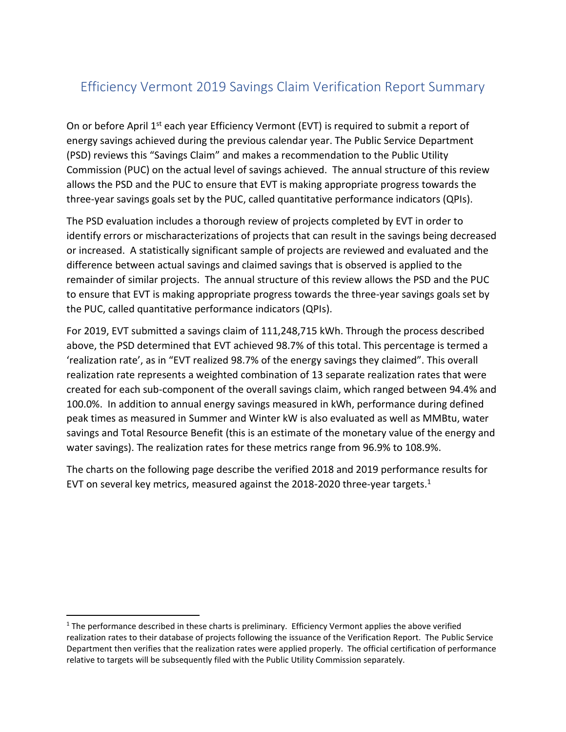## Efficiency Vermont 2019 Savings Claim Verification Report Summary

On or before April 1<sup>st</sup> each year Efficiency Vermont (EVT) is required to submit a report of energy savings achieved during the previous calendar year. The Public Service Department (PSD) reviews this "Savings Claim" and makes a recommendation to the Public Utility Commission (PUC) on the actual level of savings achieved. The annual structure of this review allows the PSD and the PUC to ensure that EVT is making appropriate progress towards the three-year savings goals set by the PUC, called quantitative performance indicators (QPIs).

The PSD evaluation includes a thorough review of projects completed by EVT in order to identify errors or mischaracterizations of projects that can result in the savings being decreased or increased. A statistically significant sample of projects are reviewed and evaluated and the difference between actual savings and claimed savings that is observed is applied to the remainder of similar projects. The annual structure of this review allows the PSD and the PUC to ensure that EVT is making appropriate progress towards the three-year savings goals set by the PUC, called quantitative performance indicators (QPIs).

For 2019, EVT submitted a savings claim of 111,248,715 kWh. Through the process described above, the PSD determined that EVT achieved 98.7% of this total. This percentage is termed a 'realization rate', as in "EVT realized 98.7% of the energy savings they claimed". This overall realization rate represents a weighted combination of 13 separate realization rates that were created for each sub-component of the overall savings claim, which ranged between 94.4% and 100.0%. In addition to annual energy savings measured in kWh, performance during defined peak times as measured in Summer and Winter kW is also evaluated as well as MMBtu, water savings and Total Resource Benefit (this is an estimate of the monetary value of the energy and water savings). The realization rates for these metrics range from 96.9% to 108.9%.

The charts on the following page describe the verified 2018 and 2019 performance results for EVT on several key metrics, measured against the 2018-2020 three-year targets. $1$ 

 $1$  The performance described in these charts is preliminary. Efficiency Vermont applies the above verified realization rates to their database of projects following the issuance of the Verification Report. The Public Service Department then verifies that the realization rates were applied properly. The official certification of performance relative to targets will be subsequently filed with the Public Utility Commission separately.